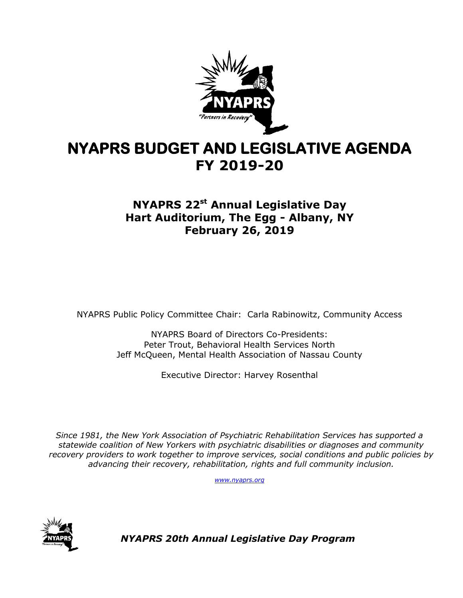

# **NYAPRS BUDGET AND LEGISLATIVE AGENDA FY 2019-20**

### **NYAPRS 22 st Annual Legislative Day Hart Auditorium, The Egg - Albany, NY February 26, 2019**

NYAPRS Public Policy Committee Chair: Carla Rabinowitz, Community Access

NYAPRS Board of Directors Co-Presidents: Peter Trout, Behavioral Health Services North Jeff McQueen, Mental Health Association of Nassau County

Executive Director: Harvey Rosenthal

*Since 1981, the New York Association of Psychiatric Rehabilitation Services has supported a statewide coalition of New Yorkers with psychiatric disabilities or diagnoses and community recovery providers to work together to improve services, social conditions and public policies by advancing their recovery, rehabilitation, rights and full community inclusion.*

*[www.nyaprs.org](http://www.nyaprs.org/)*



*NYAPRS 20th Annual Legislative Day Program*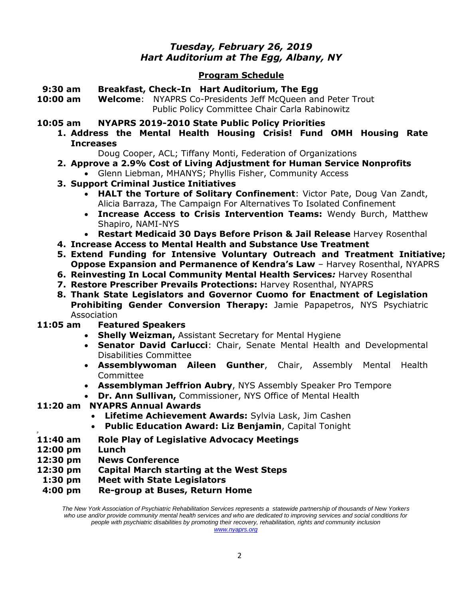### *Tuesday, February 26, 2019 Hart Auditorium at The Egg, Albany, NY*

#### **Program Schedule**

- **9:30 am Breakfast, Check-In Hart Auditorium, The Egg**
- **10:00 am Welcome**: NYAPRS Co-Presidents Jeff McQueen and Peter Trout Public Policy Committee Chair Carla Rabinowitz
- **10:05 am NYAPRS 2019-2010 State Public Policy Priorities**
	- **1. Address the Mental Health Housing Crisis! Fund OMH Housing Rate Increases**

Doug Cooper, ACL; Tiffany Monti, Federation of Organizations

- **2. Approve a 2.9% Cost of Living Adjustment for Human Service Nonprofits** Glenn Liebman, MHANYS; Phyllis Fisher, Community Access
- **3. Support Criminal Justice Initiatives** 
	- **HALT the Torture of Solitary Confinement**: Victor Pate, Doug Van Zandt, Alicia Barraza, The Campaign For Alternatives To Isolated Confinement
	- **Increase Access to Crisis Intervention Teams:** Wendy Burch, Matthew Shapiro, NAMI-NYS
	- **Restart Medicaid 30 Days Before Prison & Jail Release** Harvey Rosenthal
- **4. Increase Access to Mental Health and Substance Use Treatment**
- **5. Extend Funding for Intensive Voluntary Outreach and Treatment Initiative; Oppose Expansion and Permanence of Kendra's Law** – Harvey Rosenthal, NYAPRS
- **6. Reinvesting In Local Community Mental Health Services***:* Harvey Rosenthal
- **7. Restore Prescriber Prevails Protections:** Harvey Rosenthal, NYAPRS
- **8. Thank State Legislators and Governor Cuomo for Enactment of Legislation Prohibiting Gender Conversion Therapy:** Jamie Papapetros, NYS Psychiatric Association
- **11:05 am Featured Speakers**
	- **Shelly Weizman,** Assistant Secretary for Mental Hygiene
	- **Senator David Carlucci**: Chair, Senate Mental Health and Developmental Disabilities Committee
	- **Assemblywoman Aileen Gunther**, Chair, Assembly Mental Health Committee
	- **Assemblyman Jeffrion Aubry**, NYS Assembly Speaker Pro Tempore
	- **Dr. Ann Sullivan,** Commissioner, NYS Office of Mental Health

#### **11:20 am NYAPRS Annual Awards**

- **Lifetime Achievement Awards:** Sylvia Lask, Jim Cashen
- **Public Education Award: Liz Benjamin**, Capital Tonight
- **11:40 am Role Play of Legislative Advocacy Meetings**
- **12:00 pm Lunch**

P

- **12:30 pm News Conference**
- **12:30 pm Capital March starting at the West Steps**
- **1:30 pm Meet with State Legislators**
- **4:00 pm Re-group at Buses, Return Home**

*The New York Association of Psychiatric Rehabilitation Services represents a statewide partnership of thousands of New Yorkers who use and/or provide community mental health services and who are dedicated to improving services and social conditions for people with psychiatric disabilities by promoting their recovery, rehabilitation, rights and community inclusion*

*[www.nyaprs.org](http://www.nyaprs.org/)*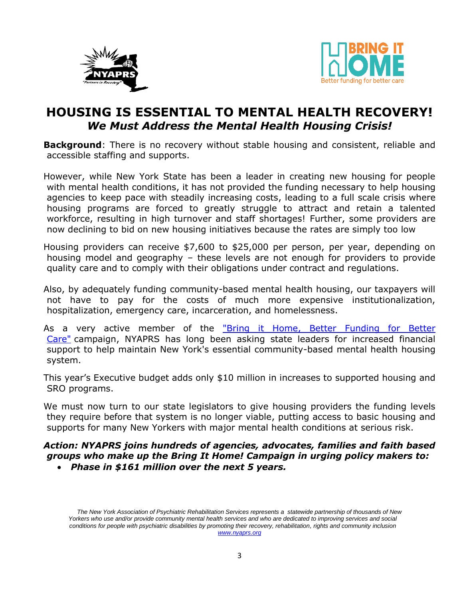



### **HOUSING IS ESSENTIAL TO MENTAL HEALTH RECOVERY!** *We Must Address the Mental Health Housing Crisis!*

**Background**: There is no recovery without stable housing and consistent, reliable and accessible staffing and supports.

However, while New York State has been a leader in creating new housing for people with mental health conditions, it has not provided the funding necessary to help housing agencies to keep pace with steadily increasing costs, leading to a full scale crisis where housing programs are forced to greatly struggle to attract and retain a talented workforce, resulting in high turnover and staff shortages! Further, some providers are now declining to bid on new housing initiatives because the rates are simply too low

Housing providers can receive \$7,600 to \$25,000 per person, per year, depending on housing model and geography – these levels are not enough for providers to provide quality care and to comply with their obligations under contract and regulations.

Also, by adequately funding community-based mental health housing, our taxpayers will not have to pay for the costs of much more expensive institutionalization, hospitalization, emergency care, incarceration, and homelessness.

As a very active member of the "Bring it Home, Better Funding for Better [Care"](http://www.bringithomenys.org/) campaign, NYAPRS has long been asking state leaders for increased financial support to help maintain New York's essential community-based mental health housing system.

This year's Executive budget adds only \$10 million in increases to supported housing and SRO programs.

We must now turn to our state legislators to give housing providers the funding levels they require before that system is no longer viable, putting access to basic housing and supports for many New Yorkers with major mental health conditions at serious risk.

### *Action: NYAPRS joins hundreds of agencies, advocates, families and faith based groups who make up the Bring It Home! Campaign in urging policy makers to:*

*Phase in \$161 million over the next 5 years.* 

*The New York Association of Psychiatric Rehabilitation Services represents a statewide partnership of thousands of New Yorkers who use and/or provide community mental health services and who are dedicated to improving services and social conditions for people with psychiatric disabilities by promoting their recovery, rehabilitation, rights and community inclusion [www.nyaprs.org](http://www.nyaprs.org/)*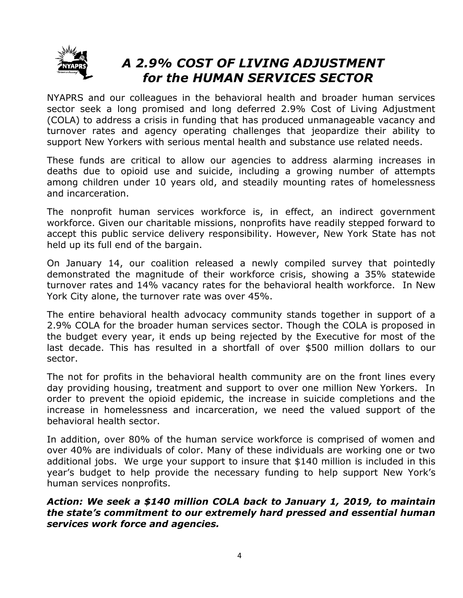

# *A 2.9% COST OF LIVING ADJUSTMENT for the HUMAN SERVICES SECTOR*

NYAPRS and our colleagues in the behavioral health and broader human services sector seek a long promised and long deferred 2.9% Cost of Living Adjustment (COLA) to address a crisis in funding that has produced unmanageable vacancy and turnover rates and agency operating challenges that jeopardize their ability to support New Yorkers with serious mental health and substance use related needs.

These funds are critical to allow our agencies to address alarming increases in deaths due to opioid use and suicide, including a growing number of attempts among children under 10 years old, and steadily mounting rates of homelessness and incarceration.

The nonprofit human services workforce is, in effect, an indirect government workforce. Given our charitable missions, nonprofits have readily stepped forward to accept this public service delivery responsibility. However, New York State has not held up its full end of the bargain.

On January 14, our coalition released a newly compiled survey that pointedly demonstrated the magnitude of their workforce crisis, showing a 35% statewide turnover rates and 14% vacancy rates for the behavioral health workforce. In New York City alone, the turnover rate was over 45%.

The entire behavioral health advocacy community stands together in support of a 2.9% COLA for the broader human services sector. Though the COLA is proposed in the budget every year, it ends up being rejected by the Executive for most of the last decade. This has resulted in a shortfall of over \$500 million dollars to our sector.

The not for profits in the behavioral health community are on the front lines every day providing housing, treatment and support to over one million New Yorkers. In order to prevent the opioid epidemic, the increase in suicide completions and the increase in homelessness and incarceration, we need the valued support of the behavioral health sector.

In addition, over 80% of the human service workforce is comprised of women and over 40% are individuals of color. Many of these individuals are working one or two additional jobs. We urge your support to insure that \$140 million is included in this year's budget to help provide the necessary funding to help support New York's human services nonprofits.

#### *Action: We seek a \$140 million COLA back to January 1, 2019, to maintain the state's commitment to our extremely hard pressed and essential human services work force and agencies.*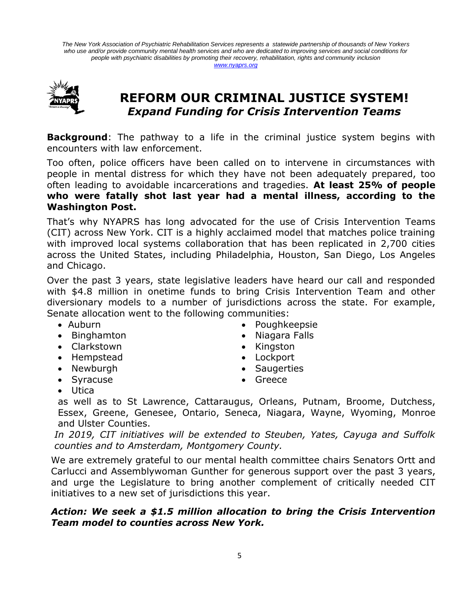*The New York Association of Psychiatric Rehabilitation Services represents a statewide partnership of thousands of New Yorkers who use and/or provide community mental health services and who are dedicated to improving services and social conditions for people with psychiatric disabilities by promoting their recovery, rehabilitation, rights and community inclusion [www.nyaprs.org](http://www.nyaprs.org/)*



### **REFORM OUR CRIMINAL JUSTICE SYSTEM!** *Expand Funding for Crisis Intervention Teams*

**Background**: The pathway to a life in the criminal justice system begins with encounters with law enforcement.

Too often, police officers have been called on to intervene in circumstances with people in mental distress for which they have not been adequately prepared, too often leading to avoidable incarcerations and tragedies. **At least 25% of people who were fatally shot last year had a mental illness, according to the Washington Post.**

That's why NYAPRS has long advocated for the use of Crisis Intervention Teams (CIT) across New York. CIT is a highly acclaimed model that matches police training with improved local systems collaboration that has been replicated in 2,700 cities across the United States, including Philadelphia, Houston, San Diego, Los Angeles and Chicago.

Over the past 3 years, state legislative leaders have heard our call and responded with \$4.8 million in onetime funds to bring Crisis Intervention Team and other diversionary models to a number of jurisdictions across the state. For example, Senate allocation went to the following communities:

- Auburn
- Binghamton
- Clarkstown
- Hempstead
- Newburgh
- Syracuse
- Poughkeepsie
- Niagara Falls
- Kingston
- Lockport
- Saugerties
- Greece

Utica

as well as to St Lawrence, Cattaraugus, Orleans, Putnam, Broome, Dutchess, Essex, Greene, Genesee, Ontario, Seneca, Niagara, Wayne, Wyoming, Monroe and Ulster Counties.

*In 2019, CIT initiatives will be extended to Steuben, Yates, Cayuga and Suffolk counties and to Amsterdam, Montgomery County.* 

We are extremely grateful to our mental health committee chairs Senators Ortt and Carlucci and Assemblywoman Gunther for generous support over the past 3 years, and urge the Legislature to bring another complement of critically needed CIT initiatives to a new set of jurisdictions this year.

#### *Action: We seek a \$1.5 million allocation to bring the Crisis Intervention Team model to counties across New York.*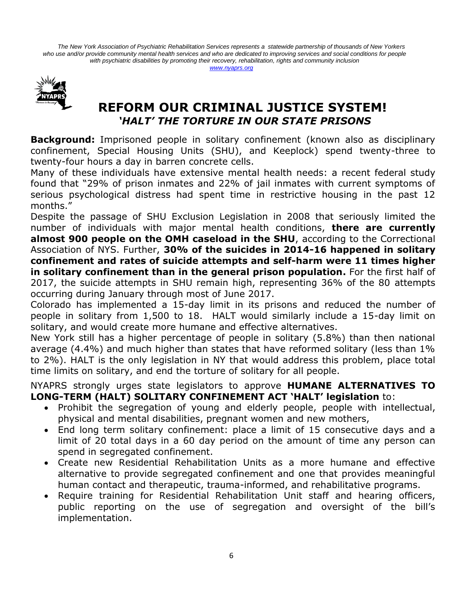*The New York Association of Psychiatric Rehabilitation Services represents a statewide partnership of thousands of New Yorkers who use and/or provide community mental health services and who are dedicated to improving services and social conditions for people with psychiatric disabilities by promoting their recovery, rehabilitation, rights and community inclusion [www.nyaprs.org](http://www.nyaprs.org/)*



### **REFORM OUR CRIMINAL JUSTICE SYSTEM!** *'HALT' THE TORTURE IN OUR STATE PRISONS*

**Background:** Imprisoned people in solitary confinement (known also as disciplinary confinement, Special Housing Units (SHU), and Keeplock) spend twenty-three to twenty-four hours a day in barren concrete cells.

Many of these individuals have extensive mental health needs: a recent federal study found that "29% of prison inmates and 22% of jail inmates with current symptoms of serious psychological distress had spent time in restrictive housing in the past 12 months."

Despite the passage of SHU Exclusion Legislation in 2008 that seriously limited the number of individuals with major mental health conditions, **there are currently almost 900 people on the OMH caseload in the SHU**, according to the Correctional Association of NYS. Further, **30% of the suicides in 2014-16 happened in solitary confinement and rates of suicide attempts and self-harm were 11 times higher in solitary confinement than in the general prison population.** For the first half of 2017, the suicide attempts in SHU remain high, representing 36% of the 80 attempts occurring during January through most of June 2017.

Colorado has implemented a 15-day limit in its prisons and reduced the number of people in solitary from 1,500 to 18. HALT would similarly include a 15-day limit on solitary, and would create more humane and effective alternatives.

New York still has a higher percentage of people in solitary (5.8%) than then national average (4.4%) and much higher than states that have reformed solitary (less than 1% to 2%). HALT is the only legislation in NY that would address this problem, place total time limits on solitary, and end the torture of solitary for all people.

NYAPRS strongly urges state legislators to approve **HUMANE ALTERNATIVES TO LONG-TERM (HALT) SOLITARY CONFINEMENT ACT 'HALT' legislation** to:

- Prohibit the segregation of young and elderly people, people with intellectual, physical and mental disabilities, pregnant women and new mothers,
- End long term solitary confinement: place a limit of 15 consecutive days and a limit of 20 total days in a 60 day period on the amount of time any person can spend in segregated confinement.
- Create new Residential Rehabilitation Units as a more humane and effective alternative to provide segregated confinement and one that provides meaningful human contact and therapeutic, trauma-informed, and rehabilitative programs.
- Require training for Residential Rehabilitation Unit staff and hearing officers, public reporting on the use of segregation and oversight of the bill's implementation.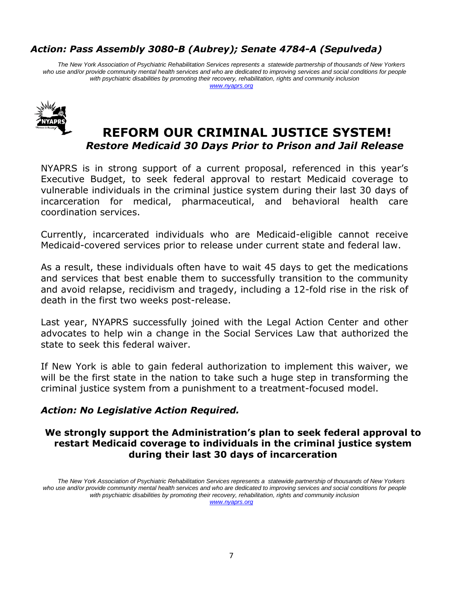### *Action: Pass Assembly 3080-B (Aubrey); Senate 4784-A (Sepulveda)*

*The New York Association of Psychiatric Rehabilitation Services represents a statewide partnership of thousands of New Yorkers who use and/or provide community mental health services and who are dedicated to improving services and social conditions for people with psychiatric disabilities by promoting their recovery, rehabilitation, rights and community inclusion [www.nyaprs.org](http://www.nyaprs.org/)*



### **REFORM OUR CRIMINAL JUSTICE SYSTEM!** *Restore Medicaid 30 Days Prior to Prison and Jail Release*

NYAPRS is in strong support of a current proposal, referenced in this year's Executive Budget, to seek federal approval to restart Medicaid coverage to vulnerable individuals in the criminal justice system during their last 30 days of incarceration for medical, pharmaceutical, and behavioral health care coordination services.

Currently, incarcerated individuals who are Medicaid-eligible cannot receive Medicaid-covered services prior to release under current state and federal law.

As a result, these individuals often have to wait 45 days to get the medications and services that best enable them to successfully transition to the community and avoid relapse, recidivism and tragedy, including a 12-fold rise in the risk of death in the first two weeks post-release.

Last year, NYAPRS successfully joined with the Legal Action Center and other advocates to help win a change in the Social Services Law that authorized the state to seek this federal waiver.

If New York is able to gain federal authorization to implement this waiver, we will be the first state in the nation to take such a huge step in transforming the criminal justice system from a punishment to a treatment-focused model.

#### *Action: No Legislative Action Required.*

#### **We strongly support the Administration's plan to seek federal approval to restart Medicaid coverage to individuals in the criminal justice system during their last 30 days of incarceration**

*The New York Association of Psychiatric Rehabilitation Services represents a statewide partnership of thousands of New Yorkers*  who use and/or provide community mental health services and who are dedicated to improving services and social conditions for *people with psychiatric disabilities by promoting their recovery, rehabilitation, rights and community inclusion [www.nyaprs.org](http://www.nyaprs.org/)*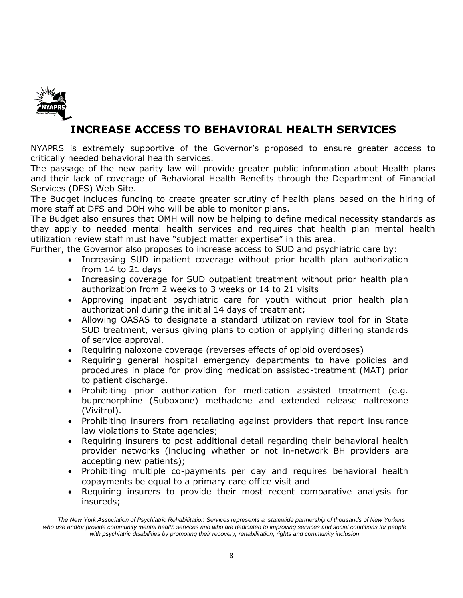

### **INCREASE ACCESS TO BEHAVIORAL HEALTH SERVICES**

NYAPRS is extremely supportive of the Governor's proposed to ensure greater access to critically needed behavioral health services.

The passage of the new parity law will provide greater public information about Health plans and their lack of coverage of Behavioral Health Benefits through the Department of Financial Services (DFS) Web Site.

The Budget includes funding to create greater scrutiny of health plans based on the hiring of more staff at DFS and DOH who will be able to monitor plans.

The Budget also ensures that OMH will now be helping to define medical necessity standards as they apply to needed mental health services and requires that health plan mental health utilization review staff must have "subject matter expertise" in this area.

Further, the Governor also proposes to increase access to SUD and psychiatric care by:

- Increasing SUD inpatient coverage without prior health plan authorization from 14 to 21 days
- Increasing coverage for SUD outpatient treatment without prior health plan authorization from 2 weeks to 3 weeks or 14 to 21 visits
- Approving inpatient psychiatric care for youth without prior health plan authorizationl during the initial 14 days of treatment;
- Allowing OASAS to designate a standard utilization review tool for in State SUD treatment, versus giving plans to option of applying differing standards of service approval.
- Requiring naloxone coverage (reverses effects of opioid overdoses)
- Requiring general hospital emergency departments to have policies and procedures in place for providing medication assisted-treatment (MAT) prior to patient discharge.
- Prohibiting prior authorization for medication assisted treatment (e.g. buprenorphine (Suboxone) methadone and extended release naltrexone (Vivitrol).
- Prohibiting insurers from retaliating against providers that report insurance law violations to State agencies;
- Requiring insurers to post additional detail regarding their behavioral health provider networks (including whether or not in-network BH providers are accepting new patients);
- Prohibiting multiple co-payments per day and requires behavioral health copayments be equal to a primary care office visit and
- Requiring insurers to provide their most recent comparative analysis for insureds;

*The New York Association of Psychiatric Rehabilitation Services represents a statewide partnership of thousands of New Yorkers who use and/or provide community mental health services and who are dedicated to improving services and social conditions for people with psychiatric disabilities by promoting their recovery, rehabilitation, rights and community inclusion*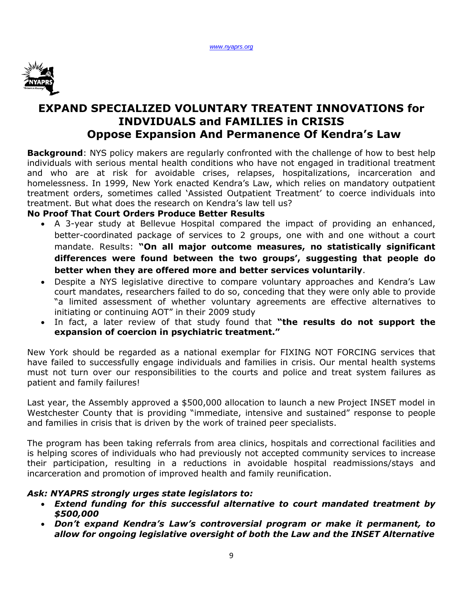

### **EXPAND SPECIALIZED VOLUNTARY TREATENT INNOVATIONS for INDVIDUALS and FAMILIES in CRISIS Oppose Expansion And Permanence Of Kendra's Law**

**Background**: NYS policy makers are regularly confronted with the challenge of how to best help individuals with serious mental health conditions who have not engaged in traditional treatment and who are at risk for avoidable crises, relapses, hospitalizations, incarceration and homelessness. In 1999, New York enacted Kendra's Law, which relies on mandatory outpatient treatment orders, sometimes called 'Assisted Outpatient Treatment' to coerce individuals into treatment. But what does the research on Kendra's law tell us?

#### **No Proof That Court Orders Produce Better Results**

- A 3-year study at Bellevue Hospital compared the impact of providing an enhanced, better-coordinated package of services to 2 groups, one with and one without a court mandate. Results: **"On all major outcome measures, no statistically significant differences were found between the two groups', suggesting that people do better when they are offered more and better services voluntarily**.
- Despite a NYS legislative directive to compare voluntary approaches and Kendra's Law court mandates, researchers failed to do so, conceding that they were only able to provide "a limited assessment of whether voluntary agreements are effective alternatives to initiating or continuing AOT" in their 2009 study
- In fact, a later review of that study found that **"the results do not support the expansion of coercion in psychiatric treatment."**

New York should be regarded as a national exemplar for FIXING NOT FORCING services that have failed to successfully engage individuals and families in crisis. Our mental health systems must not turn over our responsibilities to the courts and police and treat system failures as patient and family failures!

Last year, the Assembly approved a \$500,000 allocation to launch a new Project INSET model in Westchester County that is providing "immediate, intensive and sustained" response to people and families in crisis that is driven by the work of trained peer specialists.

The program has been taking referrals from area clinics, hospitals and correctional facilities and is helping scores of individuals who had previously not accepted community services to increase their participation, resulting in a reductions in avoidable hospital readmissions/stays and incarceration and promotion of improved health and family reunification.

#### *Ask: NYAPRS strongly urges state legislators to:*

- *Extend funding for this successful alternative to court mandated treatment by \$500,000*
- *Don't expand Kendra's Law's controversial program or make it permanent, to allow for ongoing legislative oversight of both the Law and the INSET Alternative*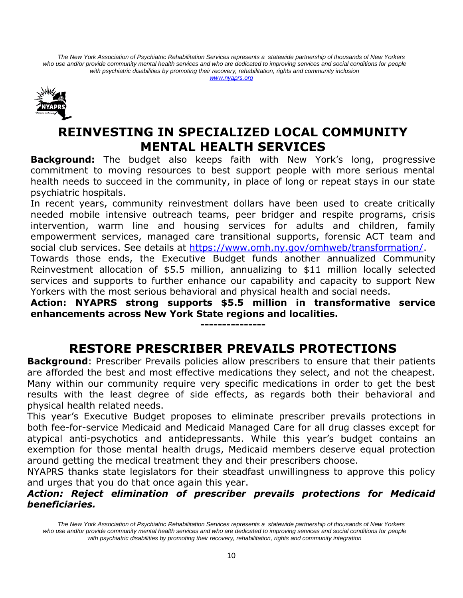*The New York Association of Psychiatric Rehabilitation Services represents a statewide partnership of thousands of New Yorkers*  who use and/or provide community mental health services and who are dedicated to improving services and social conditions for *people with psychiatric disabilities by promoting their recovery, rehabilitation, rights and community inclusion [www.nyaprs.org](http://www.nyaprs.org/)*



# **REINVESTING IN SPECIALIZED LOCAL COMMUNITY MENTAL HEALTH SERVICES**

**Background:** The budget also keeps faith with New York's long, progressive commitment to moving resources to best support people with more serious mental health needs to succeed in the community, in place of long or repeat stays in our state psychiatric hospitals.

In recent years, community reinvestment dollars have been used to create critically needed mobile intensive outreach teams, peer bridger and respite programs, crisis intervention, warm line and housing services for adults and children, family empowerment services, managed care transitional supports, forensic ACT team and social club services. See details at [https://www.omh.ny.gov/omhweb/transformation/.](https://www.omh.ny.gov/omhweb/transformation/) Towards those ends, the Executive Budget funds another annualized Community Reinvestment allocation of \$5.5 million, annualizing to \$11 million locally selected services and supports to further enhance our capability and capacity to support New

Yorkers with the most serious behavioral and physical health and social needs. **Action: NYAPRS strong supports \$5.5 million in transformative service enhancements across New York State regions and localities.** 

**---------------**

# **RESTORE PRESCRIBER PREVAILS PROTECTIONS**

**Background**: Prescriber Prevails policies allow prescribers to ensure that their patients are afforded the best and most effective medications they select, and not the cheapest. Many within our community require very specific medications in order to get the best results with the least degree of side effects, as regards both their behavioral and physical health related needs.

This year's Executive Budget proposes to eliminate prescriber prevails protections in both fee-for-service Medicaid and Medicaid Managed Care for all drug classes except for atypical anti-psychotics and antidepressants. While this year's budget contains an exemption for those mental health drugs, Medicaid members deserve equal protection around getting the medical treatment they and their prescribers choose.

NYAPRS thanks state legislators for their steadfast unwillingness to approve this policy and urges that you do that once again this year.

### *Action: Reject elimination of prescriber prevails protections for Medicaid beneficiaries.*

*The New York Association of Psychiatric Rehabilitation Services represents a statewide partnership of thousands of New Yorkers*  who use and/or provide community mental health services and who are dedicated to improving services and social conditions for people *with psychiatric disabilities by promoting their recovery, rehabilitation, rights and community integration*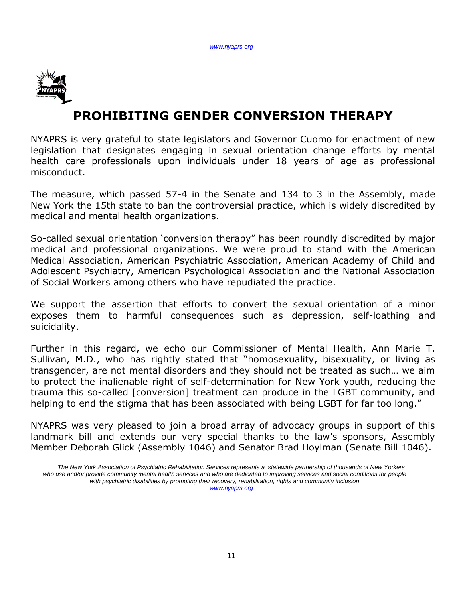

# **PROHIBITING GENDER CONVERSION THERAPY**

NYAPRS is very grateful to state legislators and Governor Cuomo for enactment of new legislation that designates engaging in sexual orientation change efforts by mental health care professionals upon individuals under 18 years of age as professional misconduct.

The measure, which passed 57-4 in the Senate and 134 to 3 in the Assembly, made New York the 15th state to ban the controversial practice, which is widely discredited by medical and mental health organizations.

So-called sexual orientation 'conversion therapy" has been roundly discredited by major medical and professional organizations. We were proud to stand with the American Medical Association, American Psychiatric Association, American Academy of Child and Adolescent Psychiatry, American Psychological Association and the National Association of Social Workers among others who have repudiated the practice.

We support the assertion that efforts to convert the sexual orientation of a minor exposes them to harmful consequences such as depression, self-loathing and suicidality.

Further in this regard, we echo our Commissioner of Mental Health, Ann Marie T. Sullivan, M.D., who has rightly stated that "homosexuality, bisexuality, or living as transgender, are not mental disorders and they should not be treated as such… we aim to protect the inalienable right of self-determination for New York youth, reducing the trauma this so-called [conversion] treatment can produce in the LGBT community, and helping to end the stigma that has been associated with being LGBT for far too long."

NYAPRS was very pleased to join a broad array of advocacy groups in support of this landmark bill and extends our very special thanks to the law's sponsors, Assembly Member Deborah Glick (Assembly 1046) and Senator Brad Hoylman (Senate Bill 1046).

*The New York Association of Psychiatric Rehabilitation Services represents a statewide partnership of thousands of New Yorkers*  who use and/or provide community mental health services and who are dedicated to improving services and social conditions for people *with psychiatric disabilities by promoting their recovery, rehabilitation, rights and community inclusion [www.nyaprs.org](http://www.nyaprs.org/)*

11